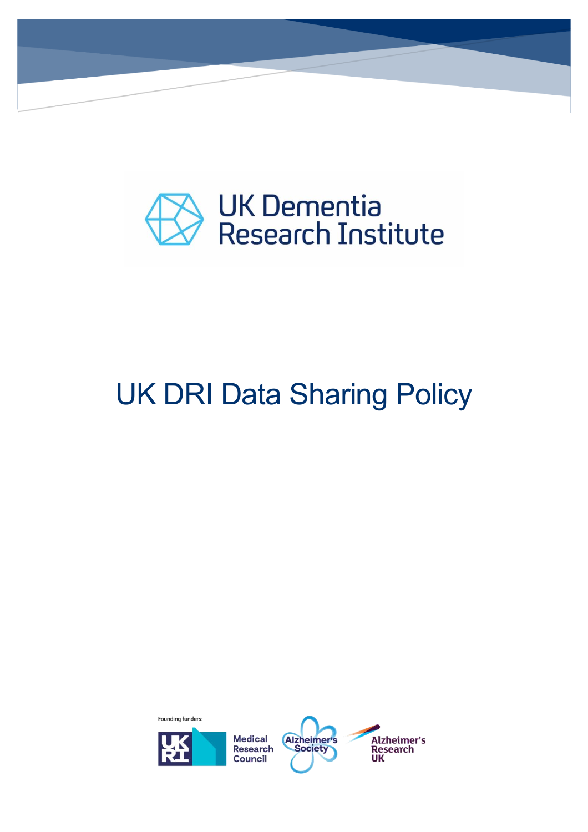

## UK DRI Data Sharing Policy

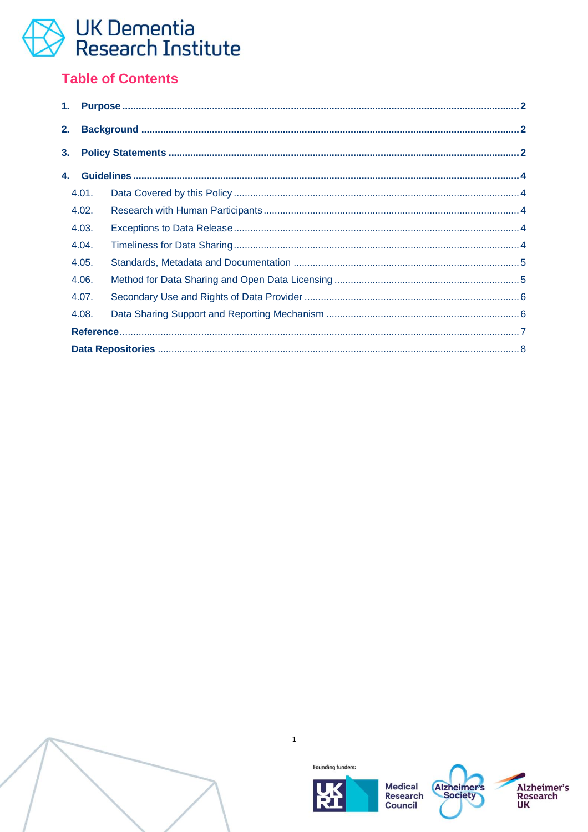#### **Table of Contents**

| 2.             |       |  |  |  |  |  |
|----------------|-------|--|--|--|--|--|
| 3 <sub>1</sub> |       |  |  |  |  |  |
| 4.             |       |  |  |  |  |  |
|                | 4.01. |  |  |  |  |  |
|                | 4.02. |  |  |  |  |  |
|                | 4.03. |  |  |  |  |  |
|                | 4.04. |  |  |  |  |  |
|                | 4.05. |  |  |  |  |  |
|                | 4.06. |  |  |  |  |  |
|                | 4.07. |  |  |  |  |  |
|                | 4.08. |  |  |  |  |  |
|                |       |  |  |  |  |  |
|                |       |  |  |  |  |  |



 $\mathbf 1$ 



**Medical Research** Council



Alzheimer's<br>Research<br>UK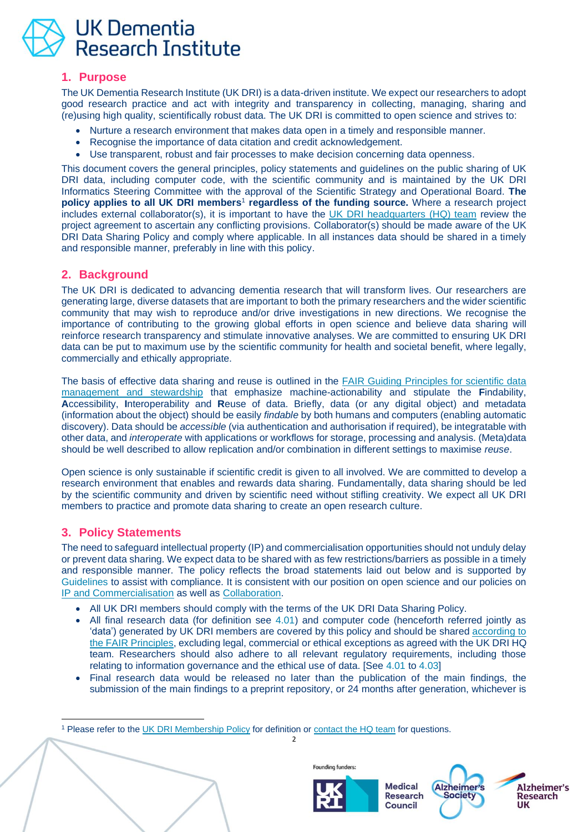

#### <span id="page-2-0"></span>**1. Purpose**

The UK Dementia Research Institute (UK DRI) is a data-driven institute. We expect our researchers to adopt good research practice and act with integrity and transparency in collecting, managing, sharing and (re)using high quality, scientifically robust data. The UK DRI is committed to open science and strives to:

- Nurture a research environment that makes data open in a timely and responsible manner.
- Recognise the importance of data citation and credit acknowledgement.
- Use transparent, robust and fair processes to make decision concerning data openness.

This document covers the general principles, policy statements and guidelines on the public sharing of UK DRI data, including computer code, with the scientific community and is maintained by the UK DRI Informatics Steering Committee with the approval of the Scientific Strategy and Operational Board. **The policy applies to all UK DRI members<sup>1</sup> regardless of the funding source. Where a research project** includes external collaborator(s), it is important to have the [UK DRI headquarters \(HQ\) team](mailto:enquiries@ukdri.ac.uk) review the project agreement to ascertain any conflicting provisions. Collaborator(s) should be made aware of the UK DRI Data Sharing Policy and comply where applicable. In all instances data should be shared in a timely and responsible manner, preferably in line with this policy.

#### <span id="page-2-1"></span>**2. Background**

The UK DRI is dedicated to advancing dementia research that will transform lives. Our researchers are generating large, diverse datasets that are important to both the primary researchers and the wider scientific community that may wish to reproduce and/or drive investigations in new directions. We recognise the importance of contributing to the growing global efforts in open science and believe data sharing will reinforce research transparency and stimulate innovative analyses. We are committed to ensuring UK DRI data can be put to maximum use by the scientific community for health and societal benefit, where legally, commercially and ethically appropriate.

The basis of effective data sharing and reuse is outlined in the FAIR Guiding Principles for scientific data [management and stewardship](https://www.nature.com/articles/sdata201618) that emphasize machine-actionability and stipulate the **F**indability, **A**ccessibility, **I**nteroperability and **R**euse of data. Briefly, data (or any digital object) and metadata (information about the object) should be easily *findable* by both humans and computers (enabling automatic discovery). Data should be *accessible* (via authentication and authorisation if required), be integratable with other data, and *interoperate* with applications or workflows for storage, processing and analysis. (Meta)data should be well described to allow replication and/or combination in different settings to maximise *reuse*.

Open science is only sustainable if scientific credit is given to all involved. We are committed to develop a research environment that enables and rewards data sharing. Fundamentally, data sharing should be led by the scientific community and driven by scientific need without stifling creativity. We expect all UK DRI members to practice and promote data sharing to create an open research culture.

#### <span id="page-2-2"></span>**3. Policy Statements**

The need to safeguard intellectual property (IP) and commercialisation opportunities should not unduly delay or prevent data sharing. We expect data to be shared with as few restrictions/barriers as possible in a timely and responsible manner. The policy reflects the broad statements laid out below and is supported by [Guidelines](#page-4-0) to assist with compliance. It is consistent with our position on open science and our policies on [IP and Commercialisation](https://portal.ukdri.ac.uk/templates-guides-policies/policies?q=UK+DRI+IP+and+Commercialisation+Policy) as well as [Collaboration.](https://portal.ukdri.ac.uk/templates-guides-policies/policies?q=UK+DRI+Collaboration+Policy)

- All UK DRI members should comply with the terms of the UK DRI Data Sharing Policy.
- All final research data (for definition see [4.01\)](#page-4-1) and computer code (henceforth referred jointly as 'data') generated by UK DRI members are covered by this policy and should be shared [according to](https://www.go-fair.org/fair-principles/)  [the FAIR Principles,](https://www.go-fair.org/fair-principles/) excluding legal, commercial or ethical exceptions as agreed with the UK DRI HQ team. Researchers should also adhere to all relevant regulatory requirements, including those relating to information governance and the ethical use of data. [See [4.01](#page-4-1) to [4.03\]](#page-4-3)
- Final research data would be released no later than the publication of the main findings, the submission of the main findings to a preprint repository, or 24 months after generation, whichever is

2

<sup>1</sup> Please refer to the [UK DRI Membership Policy](https://portal.ukdri.ac.uk/templates-guides-policies/policies?q=membership+policy) for definition or [contact the HQ team](mailto:enquiries@ukdri.ac.uk) for questions.





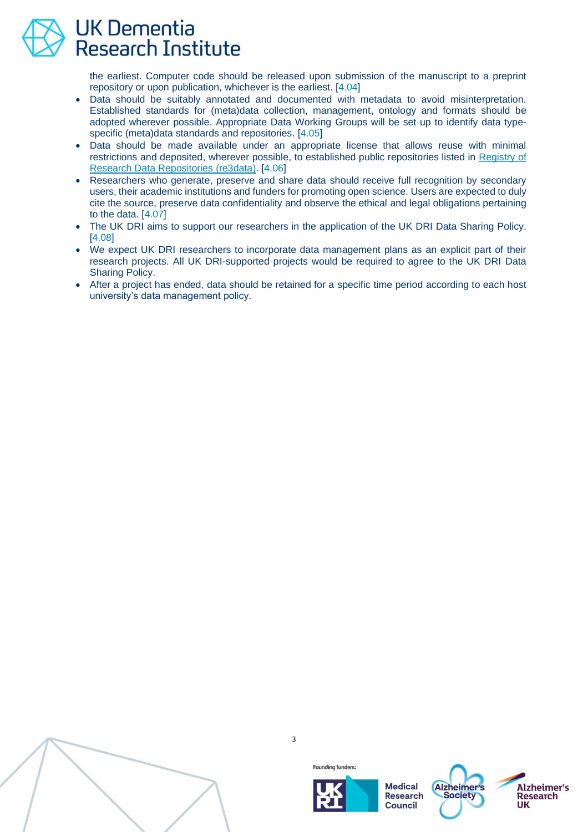

the earliest. Computer code should be released upon submission of the manuscript to a preprint repository or upon publication, whichever is the earliest. [\[4.04\]](#page-4-4)

- Data should be suitably annotated and documented with metadata to avoid misinterpretation. Established standards for (meta)data collection, management, ontology and formats should be adopted wherever possible. Appropriate Data Working Groups will be set up to identify data typespecific (meta)data standards and repositories. [\[4.05\]](#page-5-0)
- Data should be made available under an appropriate license that allows reuse with minimal restrictions and deposited, wherever possible, to established public repositories listed in [Registry of](https://www.re3data.org/)  [Research Data Repositories \(re3data\).](https://www.re3data.org/) [\[4.06\]](#page-5-1)
- Researchers who generate, preserve and share data should receive full recognition by secondary users, their academic institutions and funders for promoting open science. Users are expected to duly cite the source, preserve data confidentiality and observe the ethical and legal obligations pertaining to the data. [\[4.07\]](#page-6-0)
- The UK DRI aims to support our researchers in the application of the UK DRI Data Sharing Policy. [\[4.08\]](#page-6-1)
- We expect UK DRI researchers to incorporate data management plans as an explicit part of their research projects. All UK DRI-supported projects would be required to agree to the UK DRI Data Sharing Policy.
- After a project has ended, data should be retained for a specific time period according to each host university's data management policy.



3





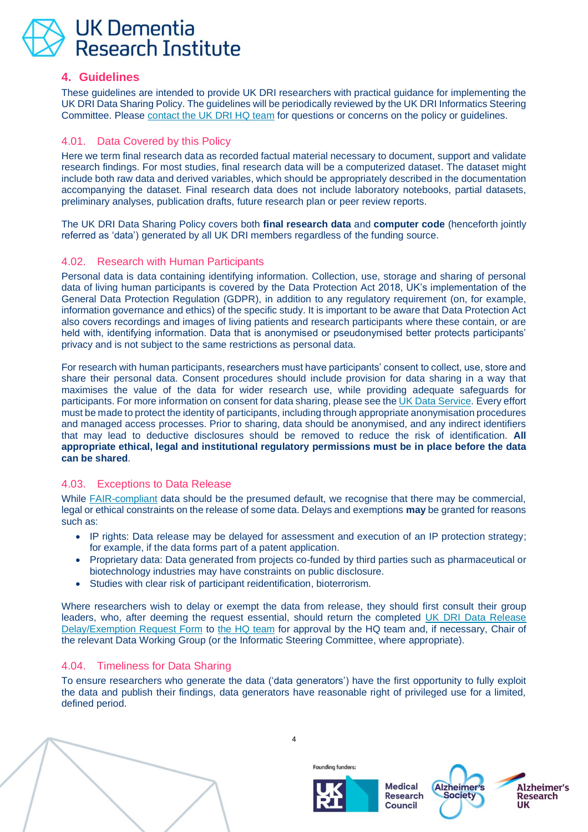#### <span id="page-4-0"></span>**4. Guidelines**

These guidelines are intended to provide UK DRI researchers with practical guidance for implementing the UK DRI Data Sharing Policy. The guidelines will be periodically reviewed by the UK DRI Informatics Steering Committee. Please [contact the UK DRI HQ team](mailto:enquiries@ukdri.ac.uk) for questions or concerns on the policy or guidelines.

#### <span id="page-4-1"></span>4.01. Data Covered by this Policy

Here we term final research data as recorded factual material necessary to document, support and validate research findings. For most studies, final research data will be a computerized dataset. The dataset might include both raw data and derived variables, which should be appropriately described in the documentation accompanying the dataset. Final research data does not include laboratory notebooks, partial datasets, preliminary analyses, publication drafts, future research plan or peer review reports.

The UK DRI Data Sharing Policy covers both **final research data** and **computer code** (henceforth jointly referred as 'data') generated by all UK DRI members regardless of the funding source.

#### <span id="page-4-2"></span>4.02. Research with Human Participants

Personal data is data containing identifying information. Collection, use, storage and sharing of personal data of living human participants is covered by the Data Protection Act 2018, UK's implementation of the General Data Protection Regulation (GDPR), in addition to any regulatory requirement (on, for example, information governance and ethics) of the specific study. It is important to be aware that Data Protection Act also covers recordings and images of living patients and research participants where these contain, or are held with, identifying information. Data that is anonymised or pseudonymised better protects participants' privacy and is not subject to the same restrictions as personal data.

For research with human participants, researchers must have participants' consent to collect, use, store and share their personal data. Consent procedures should include provision for data sharing in a way that maximises the value of the data for wider research use, while providing adequate safeguards for participants. For more information on consent for data sharing, please see the [UK Data Service.](https://www.ukdataservice.ac.uk/manage-data/legal-ethical/consent-data-sharing) Every effort must be made to protect the identity of participants, including through appropriate anonymisation procedures and managed access processes. Prior to sharing, data should be anonymised, and any indirect identifiers that may lead to deductive disclosures should be removed to reduce the risk of identification. **All appropriate ethical, legal and institutional regulatory permissions must be in place before the data can be shared**.

#### <span id="page-4-3"></span>4.03. Exceptions to Data Release

While [FAIR-compliant](https://www.go-fair.org/fair-principles/) data should be the presumed default, we recognise that there may be commercial, legal or ethical constraints on the release of some data. Delays and exemptions **may** be granted for reasons such as:

- IP rights: Data release may be delayed for assessment and execution of an IP protection strategy; for example, if the data forms part of a patent application.
- Proprietary data: Data generated from projects co-funded by third parties such as pharmaceutical or biotechnology industries may have constraints on public disclosure.
- Studies with clear risk of participant reidentification, bioterrorism.

Where researchers wish to delay or exempt the data from release, they should first consult their group leaders, who, after deeming the request essential, should return the completed UK DRI Data Release [Delay/Exemption Request Form](https://www.dropbox.com/s/c5srppq3v9l7ijs/UK%20DRI%20Data%20Release%20Delay%20Exemption%20Request%20Form.docx?dl=0) to [the HQ team](mailto:enquiries@ukdri.ac.uk) for approval by the HQ team and, if necessary, Chair of the relevant Data Working Group (or the Informatic Steering Committee, where appropriate).

#### <span id="page-4-4"></span>4.04. Timeliness for Data Sharing

To ensure researchers who generate the data ('data generators') have the first opportunity to fully exploit the data and publish their findings, data generators have reasonable right of privileged use for a limited, defined period.



4



Founding funders:



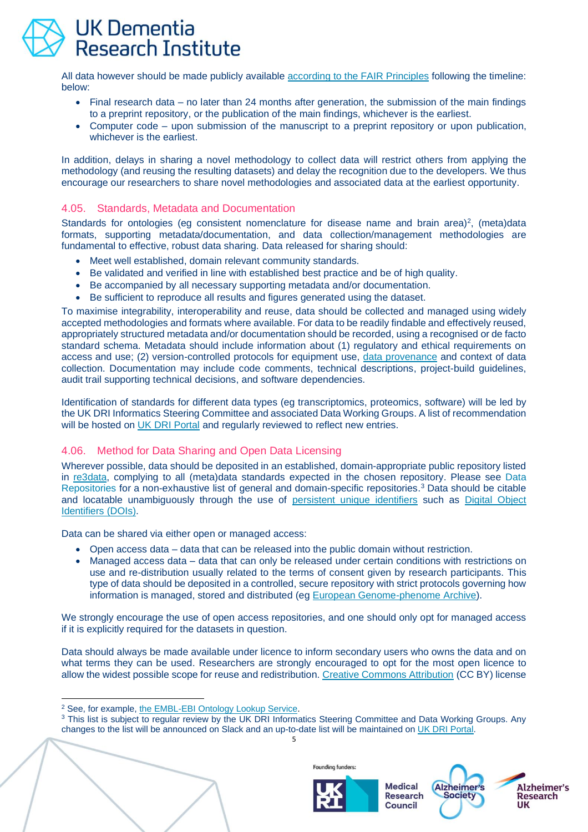All data however should be made publicly available [according to the FAIR Principles](https://www.go-fair.org/fair-principles/) following the timeline: below:

- Final research data no later than 24 months after generation, the submission of the main findings to a preprint repository, or the publication of the main findings, whichever is the earliest.
- Computer code upon submission of the manuscript to a preprint repository or upon publication, whichever is the earliest.

In addition, delays in sharing a novel methodology to collect data will restrict others from applying the methodology (and reusing the resulting datasets) and delay the recognition due to the developers. We thus encourage our researchers to share novel methodologies and associated data at the earliest opportunity.

#### <span id="page-5-0"></span>4.05. Standards, Metadata and Documentation

Standards for ontologies (eg consistent nomenclature for disease name and brain area)<sup>2</sup>, (meta)data formats, supporting metadata/documentation, and data collection/management methodologies are fundamental to effective, robust data sharing. Data released for sharing should:

- Meet well established, domain relevant community standards.
- Be validated and verified in line with established best practice and be of high quality.
- Be accompanied by all necessary supporting metadata and/or documentation.
- Be sufficient to reproduce all results and figures generated using the dataset.

To maximise integrability, interoperability and reuse, data should be collected and managed using widely accepted methodologies and formats where available. For data to be readily findable and effectively reused, appropriately structured metadata and/or documentation should be recorded, using a recognised or de facto standard schema. Metadata should include information about (1) regulatory and ethical requirements on access and use; (2) version-controlled protocols for equipment use, [data provenance](https://www.go-fair.org/fair-principles/r1-2-metadata-associated-detailed-provenance/) and context of data collection. Documentation may include code comments, technical descriptions, project-build guidelines, audit trail supporting technical decisions, and software dependencies.

Identification of standards for different data types (eg transcriptomics, proteomics, software) will be led by the UK DRI Informatics Steering Committee and associated Data Working Groups. A list of recommendation will be hosted on [UK DRI Portal](https://portal.ukdri.ac.uk/) and regularly reviewed to reflect new entries.

#### <span id="page-5-1"></span>4.06. Method for Data Sharing and Open Data Licensing

Wherever possible, data should be deposited in an established, domain-appropriate public repository listed in [re3data,](https://www.re3data.org/) complying to all (meta)data standards expected in the chosen repository. Please see [Data](#page-8-0)  [Repositories](#page-8-0) for a non-exhaustive list of general and domain-specific repositories.<sup>3</sup> Data should be citable and locatable unambiguously through the use of [persistent unique identifiers](https://nnlm.gov/data/thesaurus/persistent-unique-identifier) such as Digital Object [Identifiers](https://www.doi.org/hb.html) (DOIs).

Data can be shared via either open or managed access:

- Open access data data that can be released into the public domain without restriction.
- Managed access data data that can only be released under certain conditions with restrictions on use and re-distribution usually related to the terms of consent given by research participants. This type of data should be deposited in a controlled, secure repository with strict protocols governing how information is managed, stored and distributed (eg [European Genome-phenome Archive\)](https://ega-archive.org/about/introduction).

We strongly encourage the use of open access repositories, and one should only opt for managed access if it is explicitly required for the datasets in question.

Data should always be made available under licence to inform secondary users who owns the data and on what terms they can be used. Researchers are strongly encouraged to opt for the most open licence to allow the widest possible scope for reuse and redistribution. [Creative Commons Attribution](https://creativecommons.org/licenses/by/4.0/) (CC BY) license

<sup>3</sup> This list is subject to regular review by the UK DRI Informatics Steering Committee and Data Working Groups. Any changes to the list will be announced on Slack and an up-to-date list will be maintained o[n UK DRI Portal.](https://portal.ukdri.ac.uk/)



**Medical Alzheimer** Research **Society** Council



5

<sup>2</sup> See, for example, [the EMBL-EBI Ontology Lookup Service.](https://www.ebi.ac.uk/ols/index)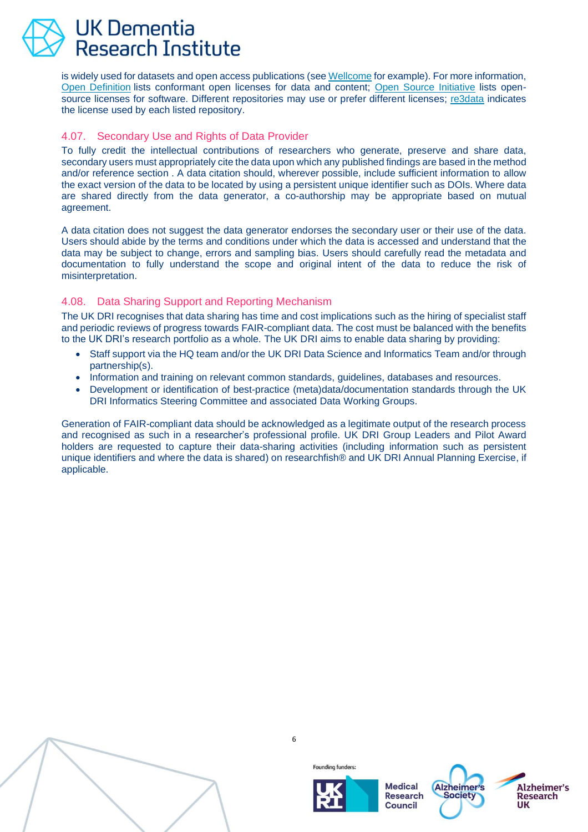is widely used for datasets and open access publications (se[e Wellcome](https://wellcome.org/grant-funding/guidance/creative-commons-attribution-licence-cc) for example). For more information, [Open Definition](https://opendefinition.org/licenses/) lists conformant open licenses for data and content; [Open Source Initiative](https://opensource.org/licenses/category) lists opensource licenses for software. Different repositories may use or prefer different licenses; [re3data](https://www.re3data.org/) indicates the license used by each listed repository.

#### <span id="page-6-0"></span>4.07. Secondary Use and Rights of Data Provider

To fully credit the intellectual contributions of researchers who generate, preserve and share data, secondary users must appropriately cite the data upon which any published findings are based in the method and/or reference section . A data citation should, wherever possible, include sufficient information to allow the exact version of the data to be located by using a persistent unique identifier such as DOIs. Where data are shared directly from the data generator, a co-authorship may be appropriate based on mutual agreement.

A data citation does not suggest the data generator endorses the secondary user or their use of the data. Users should abide by the terms and conditions under which the data is accessed and understand that the data may be subject to change, errors and sampling bias. Users should carefully read the metadata and documentation to fully understand the scope and original intent of the data to reduce the risk of misinterpretation.

#### <span id="page-6-1"></span>4.08. Data Sharing Support and Reporting Mechanism

The UK DRI recognises that data sharing has time and cost implications such as the hiring of specialist staff and periodic reviews of progress towards FAIR-compliant data. The cost must be balanced with the benefits to the UK DRI's research portfolio as a whole. The UK DRI aims to enable data sharing by providing:

- Staff support via the HQ team and/or the UK DRI Data Science and Informatics Team and/or through partnership(s).
- Information and training on relevant common standards, guidelines, databases and resources.
- Development or identification of best-practice (meta)data/documentation standards through the UK DRI Informatics Steering Committee and associated Data Working Groups.

Generation of FAIR-compliant data should be acknowledged as a legitimate output of the research process and recognised as such in a researcher's professional profile. UK DRI Group Leaders and Pilot Award holders are requested to capture their data-sharing activities (including information such as persistent unique identifiers and where the data is shared) on researchfish® and UK DRI Annual Planning Exercise, if applicable.



6





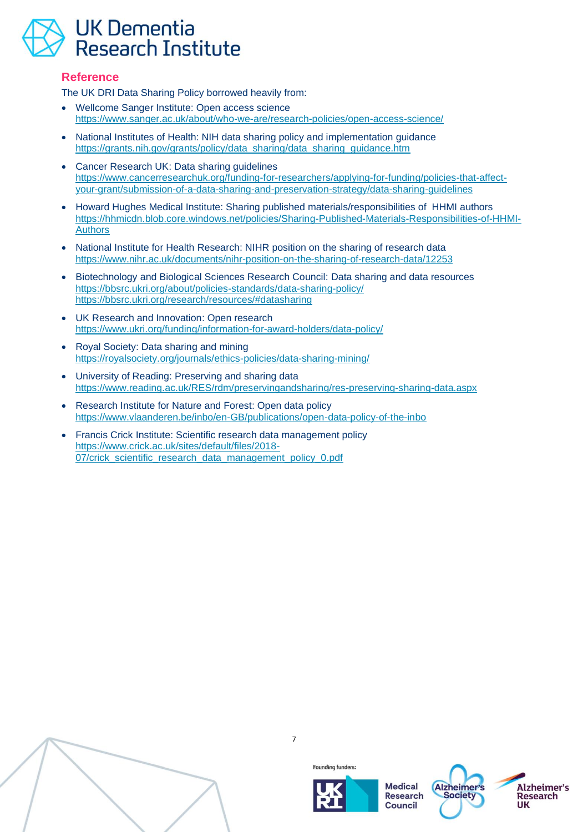#### <span id="page-7-0"></span>**Reference**

The UK DRI Data Sharing Policy borrowed heavily from:

- Wellcome Sanger Institute: Open access science <https://www.sanger.ac.uk/about/who-we-are/research-policies/open-access-science/>
- National Institutes of Health: NIH data sharing policy and implementation guidance [https://grants.nih.gov/grants/policy/data\\_sharing/data\\_sharing\\_guidance.htm](https://grants.nih.gov/grants/policy/data_sharing/data_sharing_guidance.htm)
- Cancer Research UK: Data sharing guidelines [https://www.cancerresearchuk.org/funding-for-researchers/applying-for-funding/policies-that-affect](https://www.cancerresearchuk.org/funding-for-researchers/applying-for-funding/policies-that-affect-your-grant/submission-of-a-data-sharing-and-preservation-strategy/data-sharing-guidelines)[your-grant/submission-of-a-data-sharing-and-preservation-strategy/data-sharing-guidelines](https://www.cancerresearchuk.org/funding-for-researchers/applying-for-funding/policies-that-affect-your-grant/submission-of-a-data-sharing-and-preservation-strategy/data-sharing-guidelines)
- Howard Hughes Medical Institute: Sharing published materials/responsibilities of HHMI authors [https://hhmicdn.blob.core.windows.net/policies/Sharing-Published-Materials-Responsibilities-of-HHMI-](https://hhmicdn.blob.core.windows.net/policies/Sharing-Published-Materials-Responsibilities-of-HHMI-Authors)[Authors](https://hhmicdn.blob.core.windows.net/policies/Sharing-Published-Materials-Responsibilities-of-HHMI-Authors)
- National Institute for Health Research: NIHR position on the sharing of research data <https://www.nihr.ac.uk/documents/nihr-position-on-the-sharing-of-research-data/12253>
- Biotechnology and Biological Sciences Research Council: Data sharing and data resources <https://bbsrc.ukri.org/about/policies-standards/data-sharing-policy/> <https://bbsrc.ukri.org/research/resources/#datasharing>
- UK Research and Innovation: Open research <https://www.ukri.org/funding/information-for-award-holders/data-policy/>
- Royal Society: Data sharing and mining <https://royalsociety.org/journals/ethics-policies/data-sharing-mining/>
- University of Reading: Preserving and sharing data <https://www.reading.ac.uk/RES/rdm/preservingandsharing/res-preserving-sharing-data.aspx>
- Research Institute for Nature and Forest: Open data policy <https://www.vlaanderen.be/inbo/en-GB/publications/open-data-policy-of-the-inbo>
- Francis Crick Institute: Scientific research data management policy [https://www.crick.ac.uk/sites/default/files/2018-](https://www.crick.ac.uk/sites/default/files/2018-07/crick_scientific_research_data_management_policy_0.pdf) [07/crick\\_scientific\\_research\\_data\\_management\\_policy\\_0.pdf](https://www.crick.ac.uk/sites/default/files/2018-07/crick_scientific_research_data_management_policy_0.pdf)



7



**Founding funders:** 



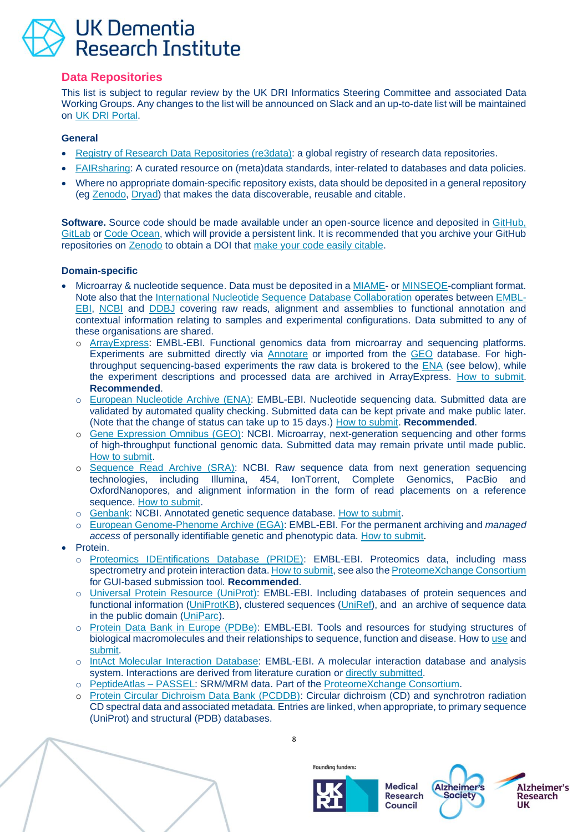#### <span id="page-8-0"></span>**Data Repositories**

This list is subject to regular review by the UK DRI Informatics Steering Committee and associated Data Working Groups. Any changes to the list will be announced on Slack and an up-to-date list will be maintained on [UK DRI Portal.](https://portal.ukdri.ac.uk/)

#### **General**

- [Registry of Research Data Repositories \(re3data\):](https://www.re3data.org/) a global registry of research data repositories.
- [FAIRsharing:](https://fairsharing.org/) A curated resource on (meta)data standards, inter-related to databases and data policies.
- Where no appropriate domain-specific repository exists, data should be deposited in a general repository (eg [Zenodo,](https://zenodo.org/) [Dryad\)](http://datadryad.org/) that makes the data discoverable, reusable and citable.

**Software.** Source code should be made available under an open-source licence and deposited in [GitHub,](https://github.com/) [GitLab](https://about.gitlab.com/) or [Code Ocean,](https://codeocean.com/) which will provide a persistent link. It is recommended that you archive your GitHub repositories on [Zenodo](https://zenodo.org/about) to obtain a DOI that [make your code easily citable.](https://guides.github.com/activities/citable-code/)

#### **Domain-specific**

- Microarray & nucleotide sequence. Data must be deposited in a [MIAME-](http://fged.org/projects/miame/) or [MINSEQE-](http://fged.org/projects/minseqe/)compliant format. Note also that the [International Nucleotide Sequence Database Collaboration](http://www.insdc.org/) operates between [EMBL-](https://www.ebi.ac.uk/)[EBI,](https://www.ebi.ac.uk/) [NCBI](http://www.ncbi.nlm.nih.gov/) and [DDBJ](http://www.ddbj.nig.ac.jp/) covering raw reads, alignment and assemblies to functional annotation and contextual information relating to samples and experimental configurations. Data submitted to any of these organisations are shared.
	- o [ArrayExpress:](http://www.ebi.ac.uk/arrayexpress/) EMBL-EBI. Functional genomics data from microarray and sequencing platforms. Experiments are submitted directly via [Annotare](https://www.ebi.ac.uk/fg/annotare/login/) or imported from the [GEO](http://www.ncbi.nlm.nih.gov/geo/) database. For highthroughput sequencing-based experiments the raw data is brokered to the [ENA](http://www.ebi.ac.uk/ena/) (see below), while the experiment descriptions and processed data are archived in ArrayExpress. [How to submit.](https://www.ebi.ac.uk/training/online/course/arrayexpress-why-and-how-submit-your-data) **Recommended**.
	- o [European Nucleotide Archive \(ENA\):](http://www.ebi.ac.uk/ena) EMBL-EBI. Nucleotide sequencing data. Submitted data are validated by automated quality checking. Submitted data can be kept private and make public later. (Note that the change of status can take up to 15 days.) [How to submit.](https://www.ebi.ac.uk/training-beta/online/courses/ena-quick-tour/submitting-data-to-ena/) **Recommended**.
	- o [Gene Expression Omnibus \(GEO\):](http://www.ncbi.nlm.nih.gov/geo/) NCBI. Microarray, next-generation sequencing and other forms of high-throughput functional genomic data. Submitted data may remain private until made public. [How to submit.](http://www.ncbi.nlm.nih.gov/projects/geo/info/submission.html)
	- o [Sequence Read Archive \(SRA\):](http://www.ncbi.nlm.nih.gov/Traces/sra/sra.cgi?) NCBI. Raw sequence data from next generation sequencing technologies, including Illumina, 454, IonTorrent, Complete Genomics, PacBio and OxfordNanopores, and alignment information in the form of read placements on a reference sequence. [How to submit.](https://www.ncbi.nlm.nih.gov/sra/docs/submit/)
	- o [Genbank:](http://www.ncbi.nlm.nih.gov/genbank/) NCBI. Annotated genetic sequence database. [How to submit.](http://www.ncbi.nlm.nih.gov/genbank/submit)
	- o [European Genome-Phenome Archive \(EGA\):](https://ega-archive.org/) EMBL-EBI. For the permanent archiving and *managed access* of personally identifiable genetic and phenotypic data. [How to submit.](https://www.ebi.ac.uk/training-beta/online/courses/ega-quick-tour/)
- Protein.
	- o [Proteomics IDEntifications Database \(PRIDE\):](http://www.ebi.ac.uk/pride/) EMBL-EBI. Proteomics data, including mass spectrometry and protein interaction data. [How to submit,](https://www.ebi.ac.uk/pride/markdownpage/submissionupload) see also the [ProteomeXchange Consortium](http://www.proteomexchange.org/) for GUI-based submission tool. **Recommended**.
	- o [Universal Protein Resource \(UniProt\):](http://www.uniprot.org/) EMBL-EBI. Including databases of protein sequences and functional information [\(UniProtKB\)](https://www.uniprot.org/help/uniprotkb), clustered sequences [\(UniRef\)](https://www.uniprot.org/help/uniref), and an archive of sequence data in the public domain [\(UniParc\)](https://www.uniprot.org/help/uniparc).
	- o [Protein Data Bank in Europe \(PDBe\):](http://www.ebi.ac.uk/pdbe/node/1) EMBL-EBI. Tools and resources for studying structures of biological macromolecules and their relationships to sequence, function and disease. How to [use](https://www.ebi.ac.uk/pdbe/training/tutorials) and [submit.](https://www.ebi.ac.uk/pdbe/deposition)
	- o [IntAct Molecular Interaction Database:](http://www.ebi.ac.uk/intact/) EMBL-EBI. A molecular interaction database and analysis system. Interactions are derived from literature curation o[r directly submitted.](https://www.ebi.ac.uk/intact/submission?conversationContext=5)
	- [PeptideAtlas –](http://www.peptideatlas.org/passel/) PASSEL: SRM/MRM data. Part of the [ProteomeXchange Consortium.](http://www.proteomexchange.org/)
	- o [Protein Circular Dichroism Data Bank \(PCDDB\):](http://pcddb.cryst.bbk.ac.uk/home.php) Circular dichroism (CD) and synchrotron radiation CD spectral data and associated metadata. Entries are linked, when appropriate, to primary sequence (UniProt) and structural (PDB) databases.